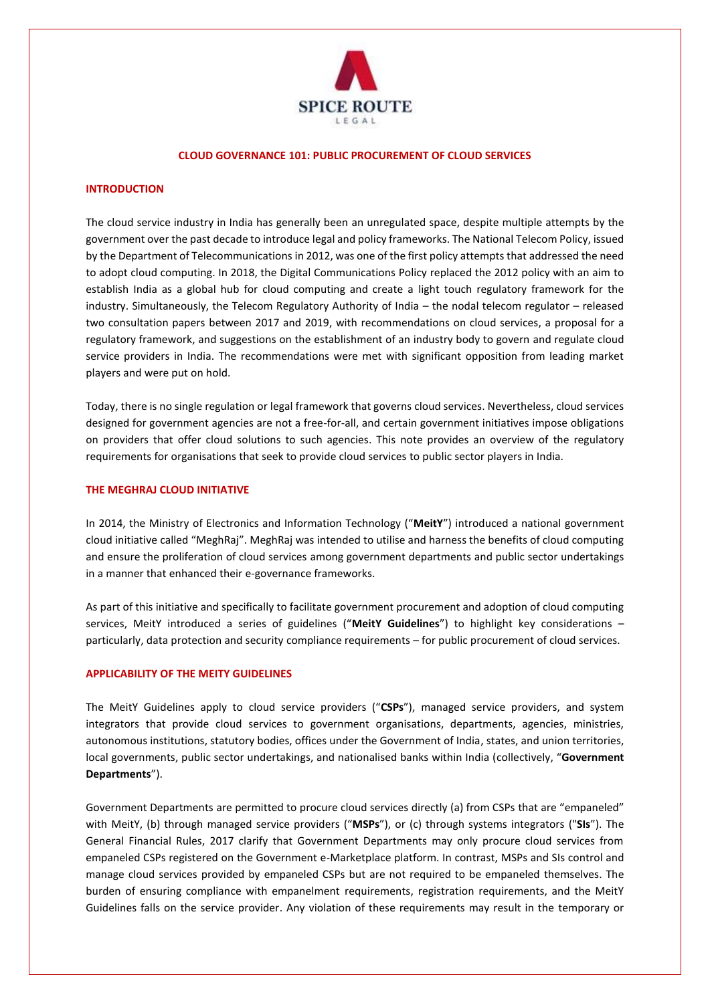

#### **CLOUD GOVERNANCE 101: PUBLIC PROCUREMENT OF CLOUD SERVICES**

# **INTRODUCTION**

The cloud service industry in India has generally been an unregulated space, despite multiple attempts by the government over the past decade to introduce legal and policy frameworks. The National Telecom Policy, issued by the Department of Telecommunications in 2012, was one of the first policy attempts that addressed the need to adopt cloud computing. In 2018, the Digital Communications Policy replaced the 2012 policy with an aim to establish India as a global hub for cloud computing and create a light touch regulatory framework for the industry. Simultaneously, the Telecom Regulatory Authority of India – the nodal telecom regulator – released two consultation papers between 2017 and 2019, with recommendations on cloud services, a proposal for a regulatory framework, and suggestions on the establishment of an industry body to govern and regulate cloud service providers in India. The recommendations were met with significant opposition from leading market players and were put on hold.

Today, there is no single regulation or legal framework that governs cloud services. Nevertheless, cloud services designed for government agencies are not a free-for-all, and certain government initiatives impose obligations on providers that offer cloud solutions to such agencies. This note provides an overview of the regulatory requirements for organisations that seek to provide cloud services to public sector players in India.

#### **THE MEGHRAJ CLOUD INITIATIVE**

In 2014, the Ministry of Electronics and Information Technology ("**MeitY**") introduced a national government cloud initiative called "MeghRaj". MeghRaj was intended to utilise and harness the benefits of cloud computing and ensure the proliferation of cloud services among government departments and public sector undertakings in a manner that enhanced their e-governance frameworks.

As part of this initiative and specifically to facilitate government procurement and adoption of cloud computing services, MeitY introduced a series of guidelines ("**MeitY Guidelines**") to highlight key considerations – particularly, data protection and security compliance requirements – for public procurement of cloud services.

#### **APPLICABILITY OF THE MEITY GUIDELINES**

The MeitY Guidelines apply to cloud service providers ("**CSPs**"), managed service providers, and system integrators that provide cloud services to government organisations, departments, agencies, ministries, autonomous institutions, statutory bodies, offices under the Government of India, states, and union territories, local governments, public sector undertakings, and nationalised banks within India (collectively, "**Government Departments**").

Government Departments are permitted to procure cloud services directly (a) from CSPs that are "empaneled" with MeitY, (b) through managed service providers ("**MSPs**"), or (c) through systems integrators ("**SIs**"). The General Financial Rules, 2017 clarify that Government Departments may only procure cloud services from empaneled CSPs registered on the Government e-Marketplace platform. In contrast, MSPs and SIs control and manage cloud services provided by empaneled CSPs but are not required to be empaneled themselves. The burden of ensuring compliance with empanelment requirements, registration requirements, and the MeitY Guidelines falls on the service provider. Any violation of these requirements may result in the temporary or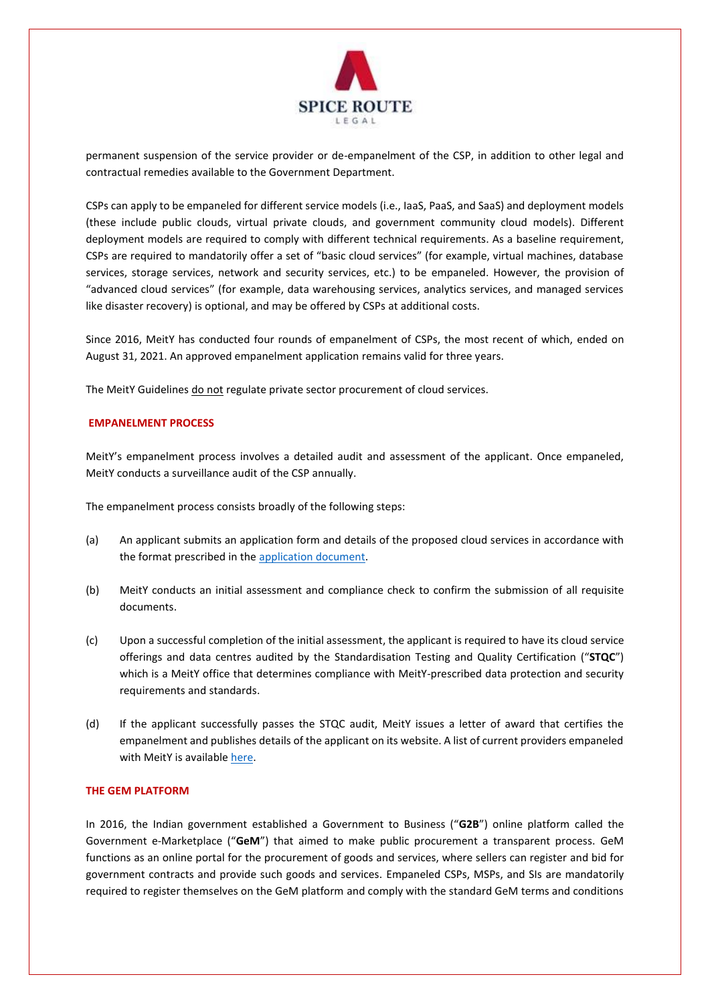

permanent suspension of the service provider or de-empanelment of the CSP, in addition to other legal and contractual remedies available to the Government Department.

CSPs can apply to be empaneled for different service models (i.e., IaaS, PaaS, and SaaS) and deployment models (these include public clouds, virtual private clouds, and government community cloud models). Different deployment models are required to comply with different technical requirements. As a baseline requirement, CSPs are required to mandatorily offer a set of "basic cloud services" (for example, virtual machines, database services, storage services, network and security services, etc.) to be empaneled. However, the provision of "advanced cloud services" (for example, data warehousing services, analytics services, and managed services like disaster recovery) is optional, and may be offered by CSPs at additional costs.

Since 2016, MeitY has conducted four rounds of empanelment of CSPs, the most recent of which, ended on August 31, 2021. An approved empanelment application remains valid for three years.

The MeitY Guidelines do not regulate private sector procurement of cloud services.

### **EMPANELMENT PROCESS**

MeitY's empanelment process involves a detailed audit and assessment of the applicant. Once empaneled, MeitY conducts a surveillance audit of the CSP annually.

The empanelment process consists broadly of the following steps:

- (a) An applicant submits an application form and details of the proposed cloud services in accordance with the format prescribed in the [application document.](https://www.meity.gov.in/writereaddata/files/Application_Empanelment_CSPs_June_2021.pdf)
- (b) MeitY conducts an initial assessment and compliance check to confirm the submission of all requisite documents.
- (c) Upon a successful completion of the initial assessment, the applicant is required to have its cloud service offerings and data centres audited by the Standardisation Testing and Quality Certification ("**STQC**") which is a MeitY office that determines compliance with MeitY-prescribed data protection and security requirements and standards.
- (d) If the applicant successfully passes the STQC audit, MeitY issues a letter of award that certifies the empanelment and publishes details of the applicant on its website. A list of current providers empaneled with MeitY is available here.

## **THE GEM PLATFORM**

In 2016, the Indian government established a Government to Business ("**G2B**") online platform called the Government e-Marketplace ("**GeM**") that aimed to make public procurement a transparent process. GeM functions as an online portal for the procurement of goods and services, where sellers can register and bid for government contracts and provide such goods and services. Empaneled CSPs, MSPs, and SIs are mandatorily required to register themselves on the GeM platform and comply with the standard GeM terms and conditions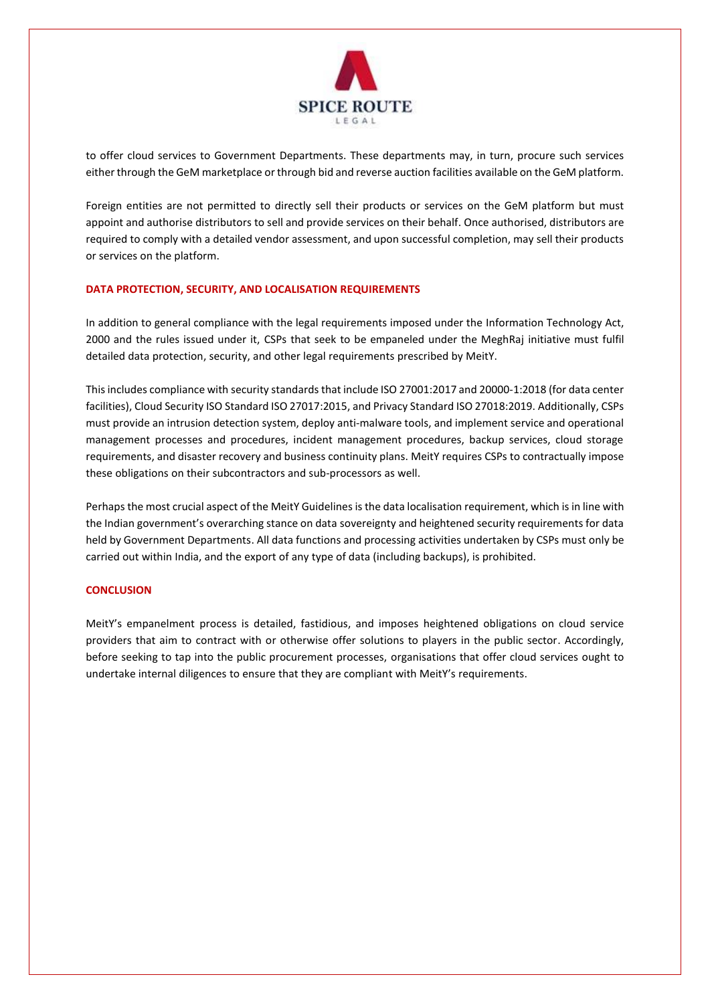

to offer cloud services to Government Departments. These departments may, in turn, procure such services either through the GeM marketplace or through bid and reverse auction facilities available on the GeM platform.

Foreign entities are not permitted to directly sell their products or services on the GeM platform but must appoint and authorise distributors to sell and provide services on their behalf. Once authorised, distributors are required to comply with a detailed vendor assessment, and upon successful completion, may sell their products or services on the platform.

# **DATA PROTECTION, SECURITY, AND LOCALISATION REQUIREMENTS**

In addition to general compliance with the legal requirements imposed under the Information Technology Act, 2000 and the rules issued under it, CSPs that seek to be empaneled under the MeghRaj initiative must fulfil detailed data protection, security, and other legal requirements prescribed by MeitY.

This includes compliance with security standards that include ISO 27001:2017 and 20000-1:2018 (for data center facilities), Cloud Security ISO Standard ISO 27017:2015, and Privacy Standard ISO 27018:2019. Additionally, CSPs must provide an intrusion detection system, deploy anti-malware tools, and implement service and operational management processes and procedures, incident management procedures, backup services, cloud storage requirements, and disaster recovery and business continuity plans. MeitY requires CSPs to contractually impose these obligations on their subcontractors and sub-processors as well.

Perhaps the most crucial aspect of the MeitY Guidelines is the data localisation requirement, which is in line with the Indian government's overarching stance on data sovereignty and heightened security requirements for data held by Government Departments. All data functions and processing activities undertaken by CSPs must only be carried out within India, and the export of any type of data (including backups), is prohibited.

#### **CONCLUSION**

MeitY's empanelment process is detailed, fastidious, and imposes heightened obligations on cloud service providers that aim to contract with or otherwise offer solutions to players in the public sector. Accordingly, before seeking to tap into the public procurement processes, organisations that offer cloud services ought to undertake internal diligences to ensure that they are compliant with MeitY's requirements.